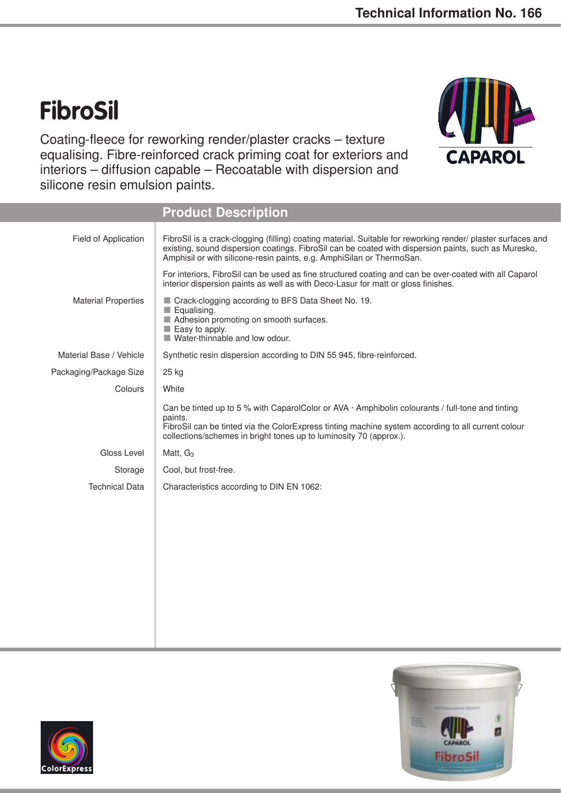## **FibroSil**

Coating-fleece for reworking render/plaster cracks – texture equalising. Fibre-reinforced crack priming coat for exteriors and interiors – diffusion capable – Recoatable with dispersion and silicone resin emulsion paints.



|                            | <b>Product Description</b>                                                                                                                                                                                                                                                                    |  |
|----------------------------|-----------------------------------------------------------------------------------------------------------------------------------------------------------------------------------------------------------------------------------------------------------------------------------------------|--|
| Field of Application       | FibroSil is a crack-clogging (filling) coating material. Suitable for reworking render/ plaster surfaces and<br>existing, sound dispersion coatings. FibroSil can be coated with dispersion paints, such as Muresko,<br>Amphisil or with silicone-resin paints, e.g. AmphiSilan or ThermoSan. |  |
|                            | For interiors, FibroSil can be used as fine structured coating and can be over-coated with all Caparol<br>interior dispersion paints as well as with Deco-Lasur for matt or gloss finishes.                                                                                                   |  |
| <b>Material Properties</b> | Crack-clogging according to BFS Data Sheet No. 19.<br>Equalising.<br>$\Box$<br>Adhesion promoting on smooth surfaces.<br>Easy to apply.<br>Water-thinnable and low odour.                                                                                                                     |  |
| Material Base / Vehicle    | Synthetic resin dispersion according to DIN 55 945, fibre-reinforced.                                                                                                                                                                                                                         |  |
| Packaging/Package Size     | 25 kg                                                                                                                                                                                                                                                                                         |  |
| Colours                    | White                                                                                                                                                                                                                                                                                         |  |
|                            | Can be tinted up to 5 % with CaparolColor or AVA $\cdot$ Amphibolin colourants / full-tone and tinting<br>paints.<br>FibroSil can be tinted via the ColorExpress tinting machine system according to all current colour<br>collections/schemes in bright tones up to luminosity 70 (approx.). |  |
| Gloss Level                | Matt, G <sub>3</sub>                                                                                                                                                                                                                                                                          |  |
| Storage                    | Cool, but frost-free.                                                                                                                                                                                                                                                                         |  |
| <b>Technical Data</b>      | Characteristics according to DIN EN 1062:                                                                                                                                                                                                                                                     |  |
|                            |                                                                                                                                                                                                                                                                                               |  |
|                            |                                                                                                                                                                                                                                                                                               |  |



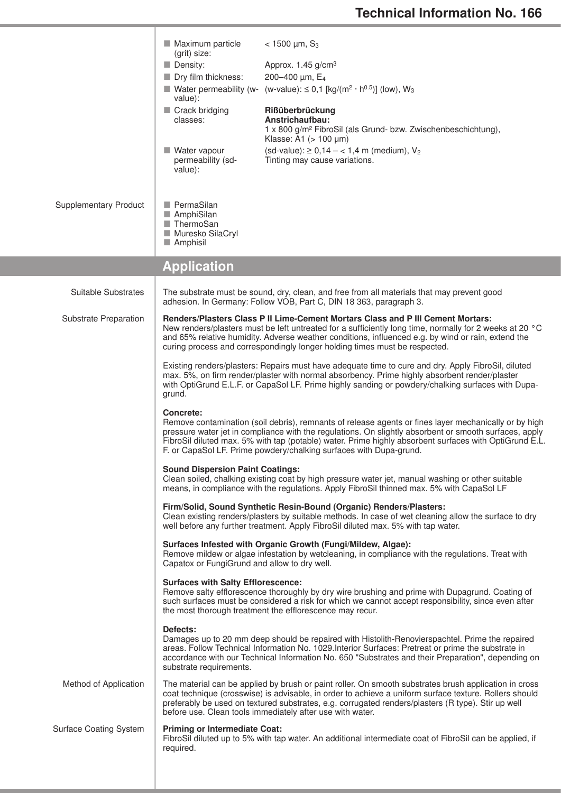|                               | Maximum particle<br>(grit) size:<br>$\blacksquare$ Density:<br>Dry film thickness:<br>value):<br>Crack bridging<br>classes:<br>Water vapour<br>permeability (sd-<br>value):                                                                                                                                                                                                                                                                                                                                                                                                                                                                                                                                                                                                                                                                                                                                                                                                                                                                                                                                                                                                                                                                                                                                                                                                                                                                                                                                                                                                                                                                                                                                                                                                                                                                                                                                                                                                                                                                                                                                                                                                                                                                                                                                                                                                                                                                                                                                                                                                                                                                     | $<$ 1500 $\mu$ m, S <sub>3</sub><br>Approx. 1.45 g/cm <sup>3</sup><br>200-400 µm, E <sub>4</sub><br>■ Water permeability (w- (w-value): $\leq$ 0,1 [kg/(m <sup>2</sup> · h <sup>0.5</sup> )] (low), W <sub>3</sub><br>Rißüberbrückung<br>Anstrichaufbau:<br>1 x 800 g/m <sup>2</sup> FibroSil (als Grund- bzw. Zwischenbeschichtung),<br>Klasse: A1 $(> 100 \mu m)$<br>$(sd-value): 20, 14 - 1, 4 \text{ m} (medium), V_2$<br>Tinting may cause variations. |
|-------------------------------|-------------------------------------------------------------------------------------------------------------------------------------------------------------------------------------------------------------------------------------------------------------------------------------------------------------------------------------------------------------------------------------------------------------------------------------------------------------------------------------------------------------------------------------------------------------------------------------------------------------------------------------------------------------------------------------------------------------------------------------------------------------------------------------------------------------------------------------------------------------------------------------------------------------------------------------------------------------------------------------------------------------------------------------------------------------------------------------------------------------------------------------------------------------------------------------------------------------------------------------------------------------------------------------------------------------------------------------------------------------------------------------------------------------------------------------------------------------------------------------------------------------------------------------------------------------------------------------------------------------------------------------------------------------------------------------------------------------------------------------------------------------------------------------------------------------------------------------------------------------------------------------------------------------------------------------------------------------------------------------------------------------------------------------------------------------------------------------------------------------------------------------------------------------------------------------------------------------------------------------------------------------------------------------------------------------------------------------------------------------------------------------------------------------------------------------------------------------------------------------------------------------------------------------------------------------------------------------------------------------------------------------------------|-------------------------------------------------------------------------------------------------------------------------------------------------------------------------------------------------------------------------------------------------------------------------------------------------------------------------------------------------------------------------------------------------------------------------------------------------------------|
| <b>Supplementary Product</b>  | PermaSilan<br>AmphiSilan<br>■ ThermoSan<br>Muresko SilaCryl<br>$\blacksquare$ Amphisil                                                                                                                                                                                                                                                                                                                                                                                                                                                                                                                                                                                                                                                                                                                                                                                                                                                                                                                                                                                                                                                                                                                                                                                                                                                                                                                                                                                                                                                                                                                                                                                                                                                                                                                                                                                                                                                                                                                                                                                                                                                                                                                                                                                                                                                                                                                                                                                                                                                                                                                                                          |                                                                                                                                                                                                                                                                                                                                                                                                                                                             |
|                               | <b>Application</b>                                                                                                                                                                                                                                                                                                                                                                                                                                                                                                                                                                                                                                                                                                                                                                                                                                                                                                                                                                                                                                                                                                                                                                                                                                                                                                                                                                                                                                                                                                                                                                                                                                                                                                                                                                                                                                                                                                                                                                                                                                                                                                                                                                                                                                                                                                                                                                                                                                                                                                                                                                                                                              |                                                                                                                                                                                                                                                                                                                                                                                                                                                             |
| Suitable Substrates           |                                                                                                                                                                                                                                                                                                                                                                                                                                                                                                                                                                                                                                                                                                                                                                                                                                                                                                                                                                                                                                                                                                                                                                                                                                                                                                                                                                                                                                                                                                                                                                                                                                                                                                                                                                                                                                                                                                                                                                                                                                                                                                                                                                                                                                                                                                                                                                                                                                                                                                                                                                                                                                                 | The substrate must be sound, dry, clean, and free from all materials that may prevent good<br>adhesion. In Germany: Follow VOB, Part C, DIN 18 363, paragraph 3.                                                                                                                                                                                                                                                                                            |
| Substrate Preparation         | Renders/Plasters Class P II Lime-Cement Mortars Class and P III Cement Mortars:<br>New renders/plasters must be left untreated for a sufficiently long time, normally for 2 weeks at 20 °C<br>and 65% relative humidity. Adverse weather conditions, influenced e.g. by wind or rain, extend the<br>curing process and correspondingly longer holding times must be respected.<br>Existing renders/plasters: Repairs must have adequate time to cure and dry. Apply FibroSil, diluted<br>max. 5%, on firm render/plaster with normal absorbency. Prime highly absorbent render/plaster<br>with OptiGrund E.L.F. or CapaSol LF. Prime highly sanding or powdery/chalking surfaces with Dupa-<br>grund.<br>Concrete:<br>Remove contamination (soil debris), remnants of release agents or fines layer mechanically or by high<br>pressure water jet in compliance with the regulations. On slightly absorbent or smooth surfaces, apply<br>FibroSil diluted max. 5% with tap (potable) water. Prime highly absorbent surfaces with OptiGrund E.L.<br>F. or CapaSol LF. Prime powdery/chalking surfaces with Dupa-grund.<br><b>Sound Dispersion Paint Coatings:</b><br>Clean soiled, chalking existing coat by high pressure water jet, manual washing or other suitable<br>means, in compliance with the regulations. Apply FibroSil thinned max. 5% with CapaSol LF<br>Firm/Solid, Sound Synthetic Resin-Bound (Organic) Renders/Plasters:<br>Clean existing renders/plasters by suitable methods. In case of wet cleaning allow the surface to dry<br>well before any further treatment. Apply FibroSil diluted max. 5% with tap water.<br>Surfaces Infested with Organic Growth (Fungi/Mildew, Algae):<br>Remove mildew or algae infestation by wetcleaning, in compliance with the regulations. Treat with<br>Capatox or FungiGrund and allow to dry well.<br><b>Surfaces with Salty Efflorescence:</b><br>Remove salty efflorescence thoroughly by dry wire brushing and prime with Dupagrund. Coating of<br>such surfaces must be considered a risk for which we cannot accept responsibility, since even after<br>the most thorough treatment the efflorescence may recur.<br>Defects:<br>Damages up to 20 mm deep should be repaired with Histolith-Renovierspachtel. Prime the repaired<br>areas. Follow Technical Information No. 1029. Interior Surfaces: Pretreat or prime the substrate in<br>accordance with our Technical Information No. 650 "Substrates and their Preparation", depending on<br>substrate requirements.<br>The material can be applied by brush or paint roller. On smooth substrates brush application in cross |                                                                                                                                                                                                                                                                                                                                                                                                                                                             |
| Method of Application         |                                                                                                                                                                                                                                                                                                                                                                                                                                                                                                                                                                                                                                                                                                                                                                                                                                                                                                                                                                                                                                                                                                                                                                                                                                                                                                                                                                                                                                                                                                                                                                                                                                                                                                                                                                                                                                                                                                                                                                                                                                                                                                                                                                                                                                                                                                                                                                                                                                                                                                                                                                                                                                                 | coat technique (crosswise) is advisable, in order to achieve a uniform surface texture. Rollers should<br>preferably be used on textured substrates, e.g. corrugated renders/plasters (R type). Stir up well<br>before use. Clean tools immediately after use with water.                                                                                                                                                                                   |
| <b>Surface Coating System</b> | <b>Priming or Intermediate Coat:</b><br>required.                                                                                                                                                                                                                                                                                                                                                                                                                                                                                                                                                                                                                                                                                                                                                                                                                                                                                                                                                                                                                                                                                                                                                                                                                                                                                                                                                                                                                                                                                                                                                                                                                                                                                                                                                                                                                                                                                                                                                                                                                                                                                                                                                                                                                                                                                                                                                                                                                                                                                                                                                                                               | FibroSil diluted up to 5% with tap water. An additional intermediate coat of FibroSil can be applied, if                                                                                                                                                                                                                                                                                                                                                    |

т